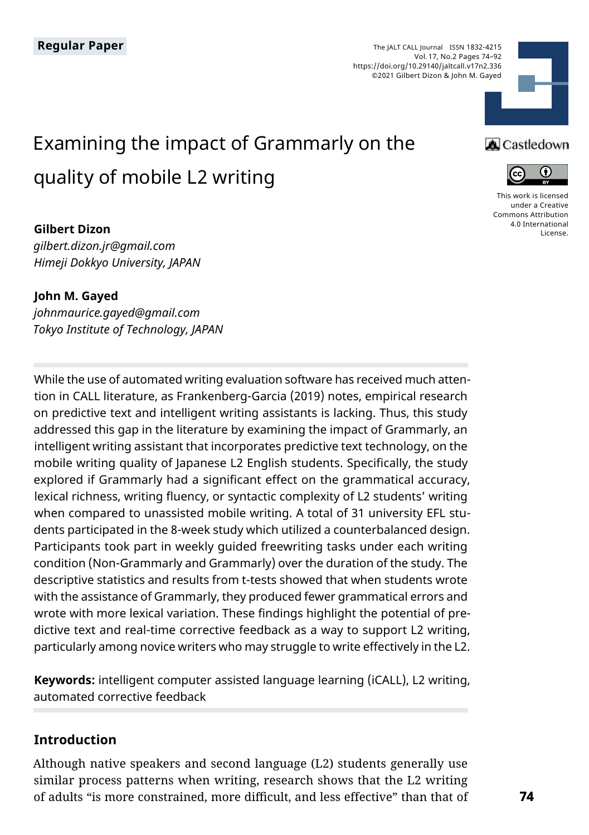The JALT CALL Journal ISSN 1832-4215 Vol. 17, No.2 Pages 74–92 https://doi.org/10.29140/jaltcall.v17n2.336 ©2021 Gilbert Dizon & John M. Gayed



# Examining the impact of Grammarly on the quality of mobile L2 writing

#### **Gilbert Dizon**

*gilbert.dizon.jr@gmail.com Himeji Dokkyo University, JAPAN*

**John M. Gayed** *johnmaurice.gayed@gmail.com Tokyo Institute of Technology, JAPAN*

While the use of automated writing evaluation software has received much attention in CALL literature, as Frankenberg-Garcia (2019) notes, empirical research on predictive text and intelligent writing assistants is lacking. Thus, this study addressed this gap in the literature by examining the impact of Grammarly, an intelligent writing assistant that incorporates predictive text technology, on the mobile writing quality of Japanese L2 English students. Specifically, the study explored if Grammarly had a significant effect on the grammatical accuracy, lexical richness, writing fluency, or syntactic complexity of L2 students' writing when compared to unassisted mobile writing. A total of 31 university EFL students participated in the 8-week study which utilized a counterbalanced design. Participants took part in weekly guided freewriting tasks under each writing condition (Non-Grammarly and Grammarly) over the duration of the study. The descriptive statistics and results from t-tests showed that when students wrote with the assistance of Grammarly, they produced fewer grammatical errors and wrote with more lexical variation. These findings highlight the potential of predictive text and real-time corrective feedback as a way to support L2 writing, particularly among novice writers who may struggle to write effectively in the L2.

**Keywords:** intelligent computer assisted language learning (iCALL), L2 writing, automated corrective feedback

#### **Introduction**

Although native speakers and second language (L2) students generally use similar process patterns when writing, research shows that the L2 writing of adults "is more constrained, more difficult, and less effective" than that of





[This work is licensed](https://creativecommons.org/licenses/by/4.0/)  [under a Creative](https://creativecommons.org/licenses/by/4.0/)  [Commons Attribution](https://creativecommons.org/licenses/by/4.0/)  [4.0 International](https://creativecommons.org/licenses/by/4.0/)  [License](https://creativecommons.org/licenses/by/4.0/).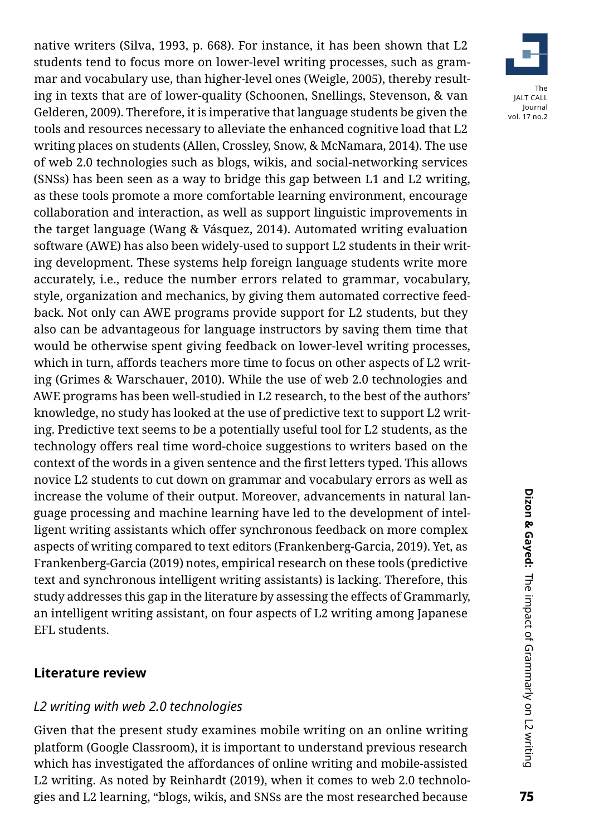native writers (Silva, 1993, p. 668). For instance, it has been shown that L2 students tend to focus more on lower-level writing processes, such as grammar and vocabulary use, than higher-level ones (Weigle, 2005), thereby resulting in texts that are of lower-quality (Schoonen, Snellings, Stevenson, & van Gelderen, 2009). Therefore, it is imperative that language students be given the tools and resources necessary to alleviate the enhanced cognitive load that L2 writing places on students (Allen, Crossley, Snow, & McNamara, 2014). The use of web 2.0 technologies such as blogs, wikis, and social-networking services (SNSs) has been seen as a way to bridge this gap between L1 and L2 writing, as these tools promote a more comfortable learning environment, encourage collaboration and interaction, as well as support linguistic improvements in the target language (Wang & Vásquez, 2014). Automated writing evaluation software (AWE) has also been widely-used to support L2 students in their writing development. These systems help foreign language students write more accurately, i.e., reduce the number errors related to grammar, vocabulary, style, organization and mechanics, by giving them automated corrective feedback. Not only can AWE programs provide support for L2 students, but they also can be advantageous for language instructors by saving them time that would be otherwise spent giving feedback on lower-level writing processes, which in turn, affords teachers more time to focus on other aspects of L2 writing (Grimes & Warschauer, 2010). While the use of web 2.0 technologies and AWE programs has been well-studied in L2 research, to the best of the authors' knowledge, no study has looked at the use of predictive text to support L2 writing. Predictive text seems to be a potentially useful tool for L2 students, as the technology offers real time word-choice suggestions to writers based on the context of the words in a given sentence and the first letters typed. This allows novice L2 students to cut down on grammar and vocabulary errors as well as increase the volume of their output. Moreover, advancements in natural language processing and machine learning have led to the development of intelligent writing assistants which offer synchronous feedback on more complex aspects of writing compared to text editors (Frankenberg-Garcia, 2019). Yet, as Frankenberg-Garcia (2019) notes, empirical research on these tools (predictive text and synchronous intelligent writing assistants) is lacking. Therefore, this study addresses this gap in the literature by assessing the effects of Grammarly, an intelligent writing assistant, on four aspects of L2 writing among Japanese EFL students.

#### **Literature review**

# *L2 writing with web 2.0 technologies*

Given that the present study examines mobile writing on an online writing platform (Google Classroom), it is important to understand previous research which has investigated the affordances of online writing and mobile-assisted L2 writing. As noted by Reinhardt (2019), when it comes to web 2.0 technologies and L2 learning, "blogs, wikis, and SNSs are the most researched because

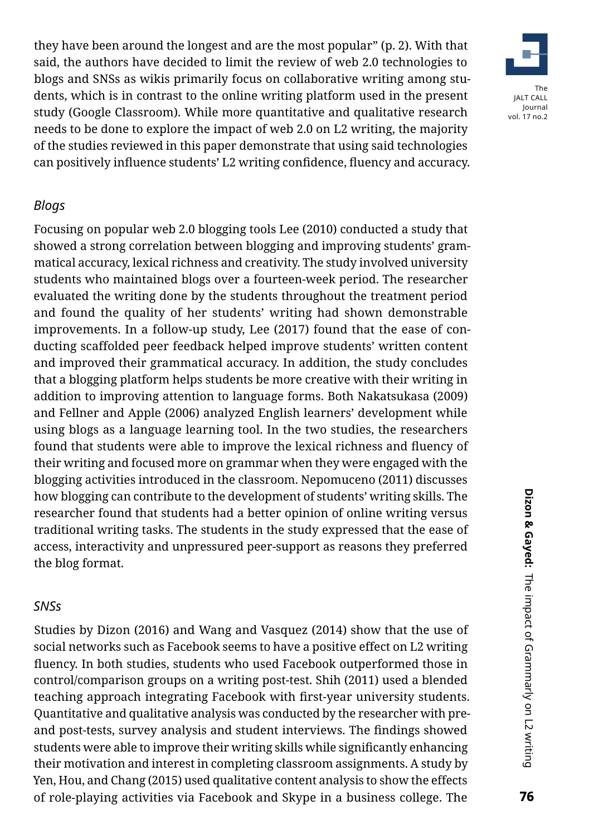they have been around the longest and are the most popular" (p. 2). With that said, the authors have decided to limit the review of web 2.0 technologies to blogs and SNSs as wikis primarily focus on collaborative writing among students, which is in contrast to the online writing platform used in the present study (Google Classroom). While more quantitative and qualitative research needs to be done to explore the impact of web 2.0 on L2 writing, the majority of the studies reviewed in this paper demonstrate that using said technologies can positively influence students' L2 writing confidence, fluency and accuracy.



#### *Blogs*

Focusing on popular web 2.0 blogging tools Lee (2010) conducted a study that showed a strong correlation between blogging and improving students' grammatical accuracy, lexical richness and creativity. The study involved university students who maintained blogs over a fourteen-week period. The researcher evaluated the writing done by the students throughout the treatment period and found the quality of her students' writing had shown demonstrable improvements. In a follow-up study, Lee (2017) found that the ease of conducting scaffolded peer feedback helped improve students' written content and improved their grammatical accuracy. In addition, the study concludes that a blogging platform helps students be more creative with their writing in addition to improving attention to language forms. Both Nakatsukasa (2009) and Fellner and Apple (2006) analyzed English learners' development while using blogs as a language learning tool. In the two studies, the researchers found that students were able to improve the lexical richness and fluency of their writing and focused more on grammar when they were engaged with the blogging activities introduced in the classroom. Nepomuceno (2011) discusses how blogging can contribute to the development of students' writing skills. The researcher found that students had a better opinion of online writing versus traditional writing tasks. The students in the study expressed that the ease of access, interactivity and unpressured peer-support as reasons they preferred the blog format.

## *SNSs*

Studies by Dizon (2016) and Wang and Vasquez (2014) show that the use of social networks such as Facebook seems to have a positive effect on L2 writing fluency. In both studies, students who used Facebook outperformed those in control/comparison groups on a writing post-test. Shih (2011) used a blended teaching approach integrating Facebook with first-year university students. Quantitative and qualitative analysis was conducted by the researcher with preand post-tests, survey analysis and student interviews. The findings showed students were able to improve their writing skills while significantly enhancing their motivation and interest in completing classroom assignments. A study by Yen, Hou, and Chang (2015) used qualitative content analysis to show the effects of role-playing activities via Facebook and Skype in a business college. The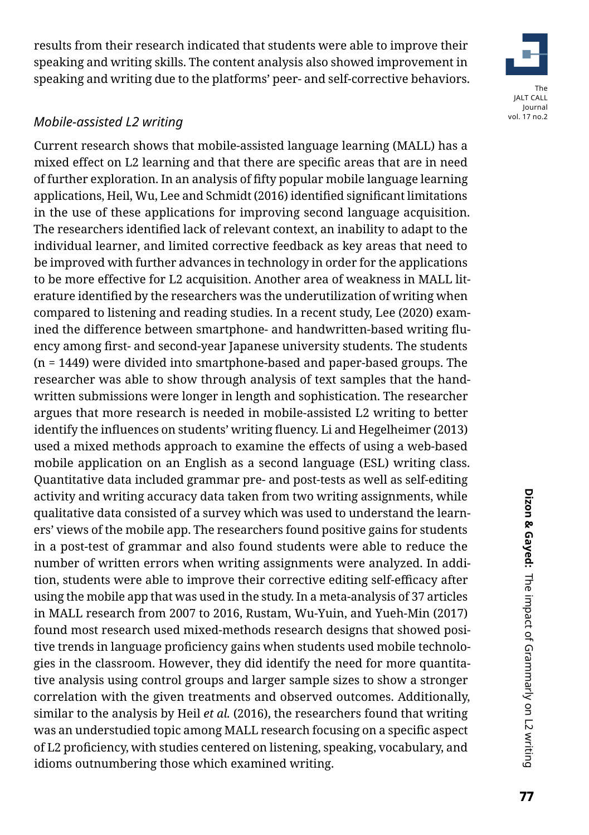results from their research indicated that students were able to improve their speaking and writing skills. The content analysis also showed improvement in speaking and writing due to the platforms' peer- and self-corrective behaviors.

# *Mobile-assisted L2 writing*

Current research shows that mobile-assisted language learning (MALL) has a mixed effect on L2 learning and that there are specific areas that are in need of further exploration. In an analysis of fifty popular mobile language learning applications, Heil, Wu, Lee and Schmidt (2016) identified significant limitations in the use of these applications for improving second language acquisition. The researchers identified lack of relevant context, an inability to adapt to the individual learner, and limited corrective feedback as key areas that need to be improved with further advances in technology in order for the applications to be more effective for L2 acquisition. Another area of weakness in MALL literature identified by the researchers was the underutilization of writing when compared to listening and reading studies. In a recent study, Lee (2020) examined the difference between smartphone- and handwritten-based writing fluency among first- and second-year Japanese university students. The students (n = 1449) were divided into smartphone-based and paper-based groups. The researcher was able to show through analysis of text samples that the handwritten submissions were longer in length and sophistication. The researcher argues that more research is needed in mobile-assisted L2 writing to better identify the influences on students' writing fluency. Li and Hegelheimer (2013) used a mixed methods approach to examine the effects of using a web-based mobile application on an English as a second language (ESL) writing class. Quantitative data included grammar pre- and post-tests as well as self-editing activity and writing accuracy data taken from two writing assignments, while qualitative data consisted of a survey which was used to understand the learners' views of the mobile app. The researchers found positive gains for students in a post-test of grammar and also found students were able to reduce the number of written errors when writing assignments were analyzed. In addition, students were able to improve their corrective editing self-efficacy after using the mobile app that was used in the study. In a meta-analysis of 37 articles in MALL research from 2007 to 2016, Rustam, Wu-Yuin, and Yueh-Min (2017) found most research used mixed-methods research designs that showed positive trends in language proficiency gains when students used mobile technologies in the classroom. However, they did identify the need for more quantitative analysis using control groups and larger sample sizes to show a stronger correlation with the given treatments and observed outcomes. Additionally, similar to the analysis by Heil *et al.* (2016), the researchers found that writing was an understudied topic among MALL research focusing on a specific aspect of L2 proficiency, with studies centered on listening, speaking, vocabulary, and idioms outnumbering those which examined writing.

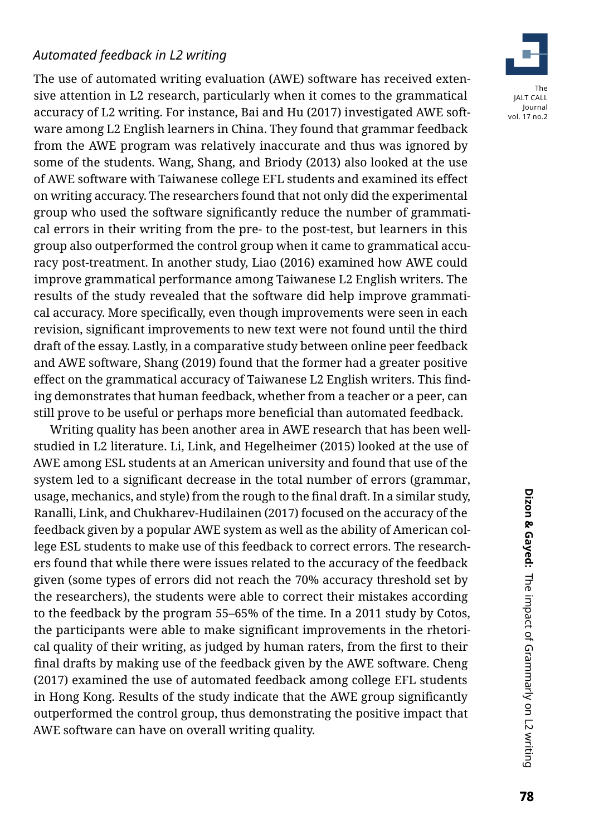# *Automated feedback in L2 writing*

The use of automated writing evaluation (AWE) software has received extensive attention in L2 research, particularly when it comes to the grammatical accuracy of L2 writing. For instance, Bai and Hu (2017) investigated AWE software among L2 English learners in China. They found that grammar feedback from the AWE program was relatively inaccurate and thus was ignored by some of the students. Wang, Shang, and Briody (2013) also looked at the use of AWE software with Taiwanese college EFL students and examined its effect on writing accuracy. The researchers found that not only did the experimental group who used the software significantly reduce the number of grammatical errors in their writing from the pre- to the post-test, but learners in this group also outperformed the control group when it came to grammatical accuracy post-treatment. In another study, Liao (2016) examined how AWE could improve grammatical performance among Taiwanese L2 English writers. The results of the study revealed that the software did help improve grammatical accuracy. More specifically, even though improvements were seen in each revision, significant improvements to new text were not found until the third draft of the essay. Lastly, in a comparative study between online peer feedback and AWE software, Shang (2019) found that the former had a greater positive effect on the grammatical accuracy of Taiwanese L2 English writers. This finding demonstrates that human feedback, whether from a teacher or a peer, can still prove to be useful or perhaps more beneficial than automated feedback.

Writing quality has been another area in AWE research that has been wellstudied in L2 literature. Li, Link, and Hegelheimer (2015) looked at the use of AWE among ESL students at an American university and found that use of the system led to a significant decrease in the total number of errors (grammar, usage, mechanics, and style) from the rough to the final draft. In a similar study, Ranalli, Link, and Chukharev-Hudilainen (2017) focused on the accuracy of the feedback given by a popular AWE system as well as the ability of American college ESL students to make use of this feedback to correct errors. The researchers found that while there were issues related to the accuracy of the feedback given (some types of errors did not reach the 70% accuracy threshold set by the researchers), the students were able to correct their mistakes according to the feedback by the program 55–65% of the time. In a 2011 study by Cotos, the participants were able to make significant improvements in the rhetorical quality of their writing, as judged by human raters, from the first to their final drafts by making use of the feedback given by the AWE software. Cheng (2017) examined the use of automated feedback among college EFL students in Hong Kong. Results of the study indicate that the AWE group significantly outperformed the control group, thus demonstrating the positive impact that AWE software can have on overall writing quality.

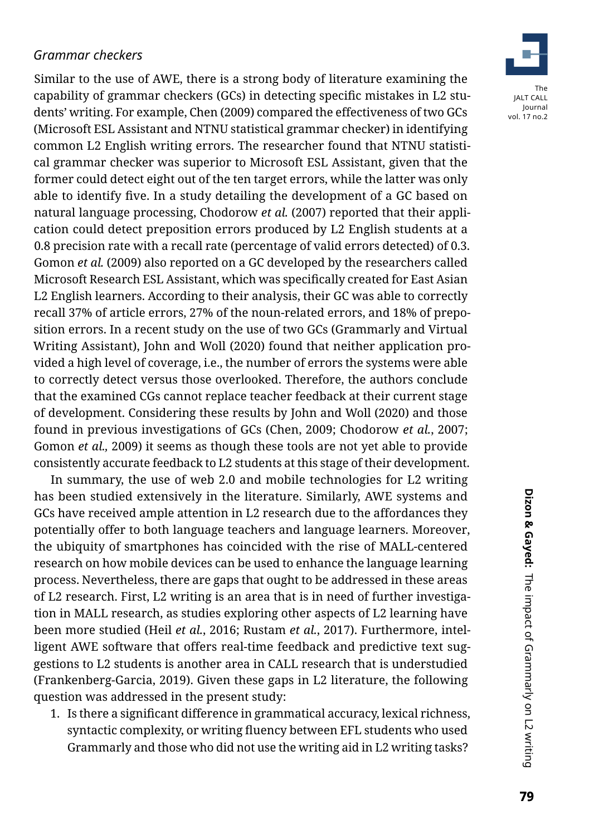# *Grammar checkers*

Similar to the use of AWE, there is a strong body of literature examining the capability of grammar checkers (GCs) in detecting specific mistakes in L2 students' writing. For example, Chen (2009) compared the effectiveness of two GCs (Microsoft ESL Assistant and NTNU statistical grammar checker) in identifying common L2 English writing errors. The researcher found that NTNU statistical grammar checker was superior to Microsoft ESL Assistant, given that the former could detect eight out of the ten target errors, while the latter was only able to identify five. In a study detailing the development of a GC based on natural language processing, Chodorow *et al.* (2007) reported that their application could detect preposition errors produced by L2 English students at a 0.8 precision rate with a recall rate (percentage of valid errors detected) of 0.3. Gomon *et al.* (2009) also reported on a GC developed by the researchers called Microsoft Research ESL Assistant, which was specifically created for East Asian L2 English learners. According to their analysis, their GC was able to correctly recall 37% of article errors, 27% of the noun-related errors, and 18% of preposition errors. In a recent study on the use of two GCs (Grammarly and Virtual Writing Assistant), John and Woll (2020) found that neither application provided a high level of coverage, i.e., the number of errors the systems were able to correctly detect versus those overlooked. Therefore, the authors conclude that the examined CGs cannot replace teacher feedback at their current stage of development. Considering these results by John and Woll (2020) and those found in previous investigations of GCs (Chen, 2009; Chodorow *et al.*, 2007; Gomon *et al.,* 2009) it seems as though these tools are not yet able to provide consistently accurate feedback to L2 students at this stage of their development.

In summary, the use of web 2.0 and mobile technologies for L2 writing has been studied extensively in the literature. Similarly, AWE systems and GCs have received ample attention in L2 research due to the affordances they potentially offer to both language teachers and language learners. Moreover, the ubiquity of smartphones has coincided with the rise of MALL-centered research on how mobile devices can be used to enhance the language learning process. Nevertheless, there are gaps that ought to be addressed in these areas of L2 research. First, L2 writing is an area that is in need of further investigation in MALL research, as studies exploring other aspects of L2 learning have been more studied (Heil *et al.*, 2016; Rustam *et al.*, 2017). Furthermore, intelligent AWE software that offers real-time feedback and predictive text suggestions to L2 students is another area in CALL research that is understudied (Frankenberg-Garcia, 2019). Given these gaps in L2 literature, the following question was addressed in the present study:

1. Is there a significant difference in grammatical accuracy, lexical richness, syntactic complexity, or writing fluency between EFL students who used Grammarly and those who did not use the writing aid in L2 writing tasks?

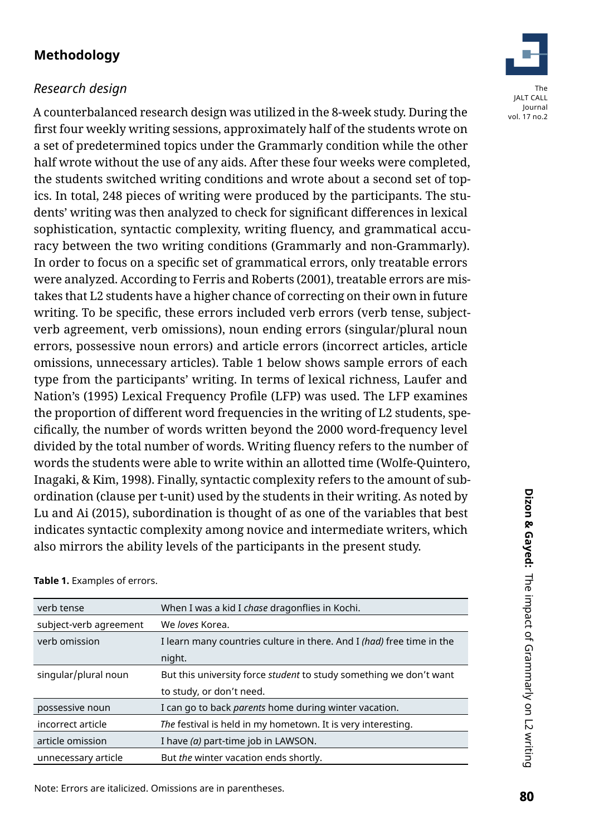# **Methodology**

# *Research design*

A counterbalanced research design was utilized in the 8-week study. During the first four weekly writing sessions, approximately half of the students wrote on a set of predetermined topics under the Grammarly condition while the other half wrote without the use of any aids. After these four weeks were completed, the students switched writing conditions and wrote about a second set of topics. In total, 248 pieces of writing were produced by the participants. The students' writing was then analyzed to check for significant differences in lexical sophistication, syntactic complexity, writing fluency, and grammatical accuracy between the two writing conditions (Grammarly and non-Grammarly). In order to focus on a specific set of grammatical errors, only treatable errors were analyzed. According to Ferris and Roberts (2001), treatable errors are mistakes that L2 students have a higher chance of correcting on their own in future writing. To be specific, these errors included verb errors (verb tense, subjectverb agreement, verb omissions), noun ending errors (singular/plural noun errors, possessive noun errors) and article errors (incorrect articles, article omissions, unnecessary articles). Table 1 below shows sample errors of each type from the participants' writing. In terms of lexical richness, Laufer and Nation's (1995) Lexical Frequency Profile (LFP) was used. The LFP examines the proportion of different word frequencies in the writing of L2 students, specifically, the number of words written beyond the 2000 word-frequency level divided by the total number of words. Writing fluency refers to the number of words the students were able to write within an allotted time (Wolfe-Quintero, Inagaki, & Kim, 1998). Finally, syntactic complexity refers to the amount of subordination (clause per t-unit) used by the students in their writing. As noted by Lu and Ai (2015), subordination is thought of as one of the variables that best indicates syntactic complexity among novice and intermediate writers, which also mirrors the ability levels of the participants in the present study.

| verb tense             | When I was a kid I chase dragonflies in Kochi.                               |
|------------------------|------------------------------------------------------------------------------|
| subject-verb agreement | We loves Korea.                                                              |
| verb omission          | I learn many countries culture in there. And I <i>(had)</i> free time in the |
|                        | night.                                                                       |
| singular/plural noun   | But this university force <i>student</i> to study something we don't want    |
|                        | to study, or don't need.                                                     |
| possessive noun        | I can go to back <i>parents</i> home during winter vacation.                 |
| incorrect article      | The festival is held in my hometown. It is very interesting.                 |
| article omission       | I have (a) part-time job in LAWSON.                                          |
| unnecessary article    | But the winter vacation ends shortly.                                        |

#### **Table 1.** Examples of errors.

Note: Errors are italicized. Omissions are in parentheses.

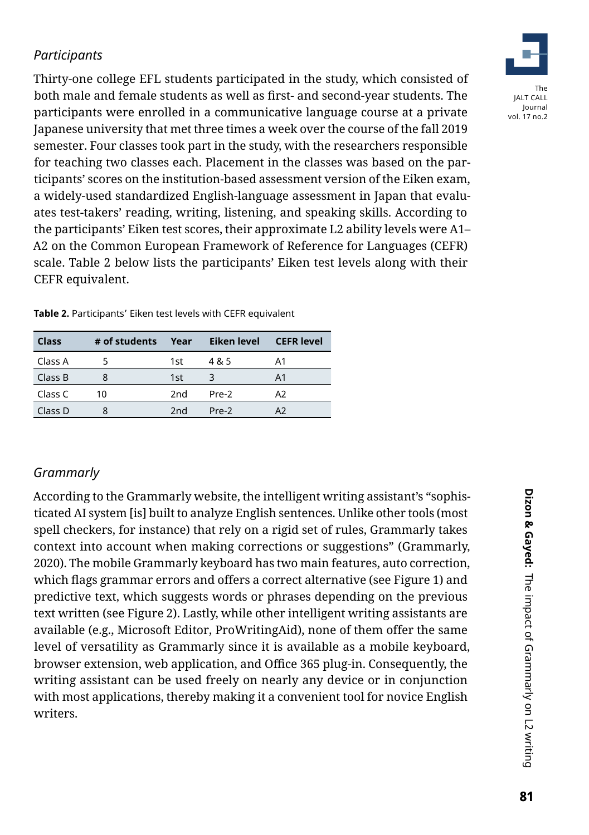# *Participants*

Thirty-one college EFL students participated in the study, which consisted of both male and female students as well as first- and second-year students. The participants were enrolled in a communicative language course at a private Japanese university that met three times a week over the course of the fall 2019 semester. Four classes took part in the study, with the researchers responsible for teaching two classes each. Placement in the classes was based on the participants' scores on the institution-based assessment version of the Eiken exam, a widely-used standardized English-language assessment in Japan that evaluates test-takers' reading, writing, listening, and speaking skills. According to the participants' Eiken test scores, their approximate L2 ability levels were A1– A2 on the Common European Framework of Reference for Languages (CEFR) scale. Table 2 below lists the participants' Eiken test levels along with their CEFR equivalent.

| <b>Class</b> | # of students | Year            | Eiken level | <b>CEFR</b> level |
|--------------|---------------|-----------------|-------------|-------------------|
| Class A      |               | 1st             | 4 & 5       | Α1                |
| Class B      | 8             | 1st             | 3           | A <sub>1</sub>    |
| Class C      | 10            | 2nd             | Pre-2       | A2                |
| Class D      | 8             | 2 <sub>nd</sub> | Pre-2       | A2                |

**Table 2.** Participants' Eiken test levels with CEFR equivalent

# *Grammarly*

According to the Grammarly website, the intelligent writing assistant's "sophisticated AI system [is] built to analyze English sentences. Unlike other tools (most spell checkers, for instance) that rely on a rigid set of rules, Grammarly takes context into account when making corrections or suggestions" (Grammarly, 2020). The mobile Grammarly keyboard has two main features, auto correction, which flags grammar errors and offers a correct alternative (see Figure 1) and predictive text, which suggests words or phrases depending on the previous text written (see Figure 2). Lastly, while other intelligent writing assistants are available (e.g., Microsoft Editor, ProWritingAid), none of them offer the same level of versatility as Grammarly since it is available as a mobile keyboard, browser extension, web application, and Office 365 plug-in. Consequently, the writing assistant can be used freely on nearly any device or in conjunction with most applications, thereby making it a convenient tool for novice English writers.

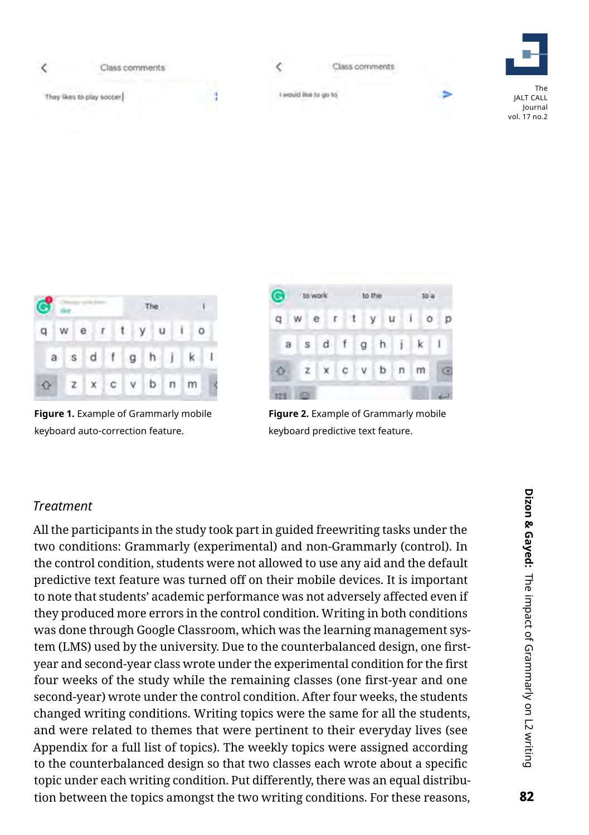



**Figure 1.** Example of Grammarly mobile keyboard auto-correction feature.



**Figure 2.** Example of Grammarly mobile keyboard predictive text feature.

# *Treatment*

All the participants in the study took part in guided freewriting tasks under the two conditions: Grammarly (experimental) and non-Grammarly (control). In the control condition, students were not allowed to use any aid and the default predictive text feature was turned off on their mobile devices. It is important to note that students' academic performance was not adversely affected even if they produced more errors in the control condition. Writing in both conditions was done through Google Classroom, which was the learning management system (LMS) used by the university. Due to the counterbalanced design, one firstyear and second-year class wrote under the experimental condition for the first four weeks of the study while the remaining classes (one first-year and one second-year) wrote under the control condition. After four weeks, the students changed writing conditions. Writing topics were the same for all the students, and were related to themes that were pertinent to their everyday lives (see Appendix for a full list of topics). The weekly topics were assigned according to the counterbalanced design so that two classes each wrote about a specific topic under each writing condition. Put differently, there was an equal distribution between the topics amongst the two writing conditions. For these reasons,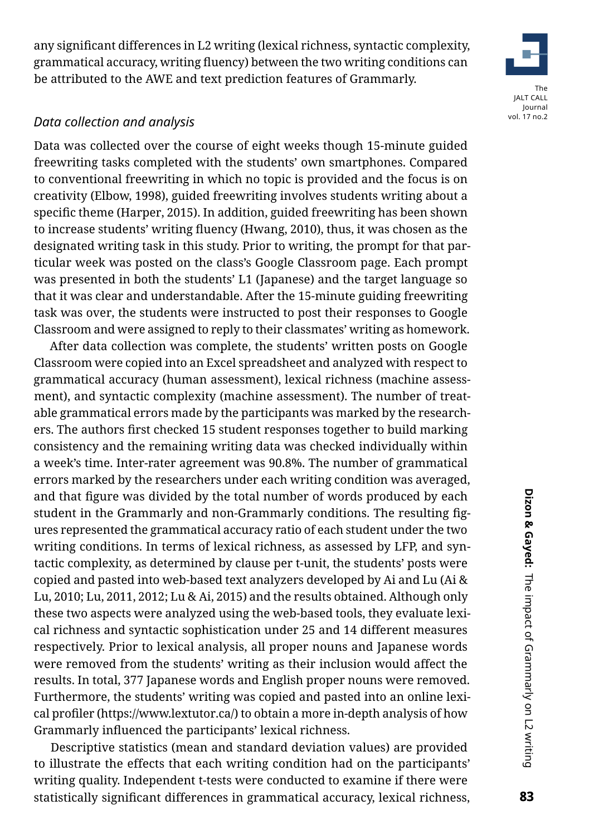any significant differences in L2 writing (lexical richness, syntactic complexity, grammatical accuracy, writing fluency) between the two writing conditions can be attributed to the AWE and text prediction features of Grammarly.

#### *Data collection and analysis*

Data was collected over the course of eight weeks though 15-minute guided freewriting tasks completed with the students' own smartphones. Compared to conventional freewriting in which no topic is provided and the focus is on creativity (Elbow, 1998), guided freewriting involves students writing about a specific theme (Harper, 2015). In addition, guided freewriting has been shown to increase students' writing fluency (Hwang, 2010), thus, it was chosen as the designated writing task in this study. Prior to writing, the prompt for that particular week was posted on the class's Google Classroom page. Each prompt was presented in both the students' L1 (Japanese) and the target language so that it was clear and understandable. After the 15-minute guiding freewriting task was over, the students were instructed to post their responses to Google Classroom and were assigned to reply to their classmates' writing as homework.

After data collection was complete, the students' written posts on Google Classroom were copied into an Excel spreadsheet and analyzed with respect to grammatical accuracy (human assessment), lexical richness (machine assessment), and syntactic complexity (machine assessment). The number of treatable grammatical errors made by the participants was marked by the researchers. The authors first checked 15 student responses together to build marking consistency and the remaining writing data was checked individually within a week's time. Inter-rater agreement was 90.8%. The number of grammatical errors marked by the researchers under each writing condition was averaged, and that figure was divided by the total number of words produced by each student in the Grammarly and non-Grammarly conditions. The resulting figures represented the grammatical accuracy ratio of each student under the two writing conditions. In terms of lexical richness, as assessed by LFP, and syntactic complexity, as determined by clause per t-unit, the students' posts were copied and pasted into web-based text analyzers developed by Ai and Lu (Ai & Lu, 2010; Lu, 2011, 2012; Lu & Ai, 2015) and the results obtained. Although only these two aspects were analyzed using the web-based tools, they evaluate lexical richness and syntactic sophistication under 25 and 14 different measures respectively. Prior to lexical analysis, all proper nouns and Japanese words were removed from the students' writing as their inclusion would affect the results. In total, 377 Japanese words and English proper nouns were removed. Furthermore, the students' writing was copied and pasted into an online lexical profiler (https://www.lextutor.ca/) to obtain a more in-depth analysis of how Grammarly influenced the participants' lexical richness.

Descriptive statistics (mean and standard deviation values) are provided to illustrate the effects that each writing condition had on the participants' writing quality. Independent t-tests were conducted to examine if there were statistically significant differences in grammatical accuracy, lexical richness,

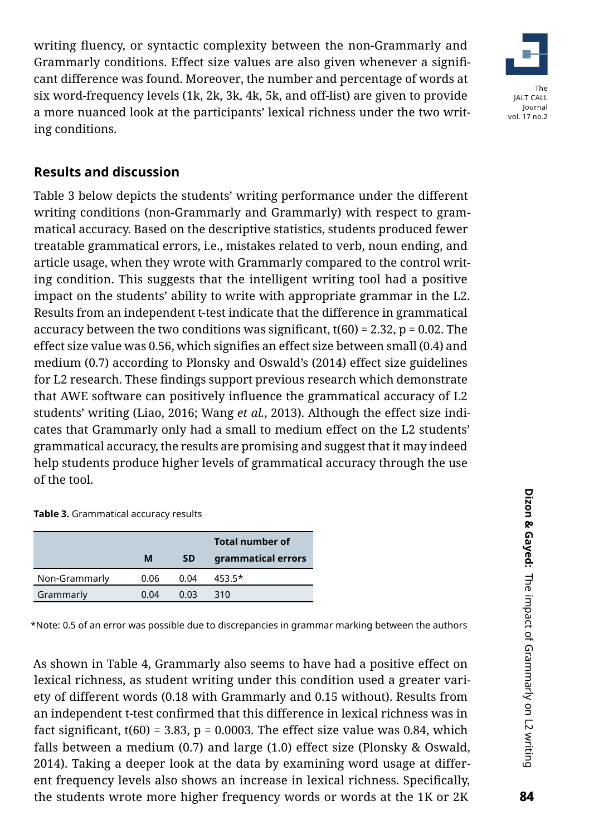writing fluency, or syntactic complexity between the non-Grammarly and Grammarly conditions. Effect size values are also given whenever a significant difference was found. Moreover, the number and percentage of words at six word-frequency levels (1k, 2k, 3k, 4k, 5k, and off-list) are given to provide a more nuanced look at the participants' lexical richness under the two writing conditions.



# **Results and discussion**

Table 3 below depicts the students' writing performance under the different writing conditions (non-Grammarly and Grammarly) with respect to grammatical accuracy. Based on the descriptive statistics, students produced fewer treatable grammatical errors, i.e., mistakes related to verb, noun ending, and article usage, when they wrote with Grammarly compared to the control writing condition. This suggests that the intelligent writing tool had a positive impact on the students' ability to write with appropriate grammar in the L2. Results from an independent t-test indicate that the difference in grammatical accuracy between the two conditions was significant,  $t(60) = 2.32$ ,  $p = 0.02$ . The effect size value was 0.56, which signifies an effect size between small (0.4) and medium (0.7) according to Plonsky and Oswald's (2014) effect size guidelines for L2 research. These findings support previous research which demonstrate that AWE software can positively influence the grammatical accuracy of L2 students' writing (Liao, 2016; Wang *et al.*, 2013). Although the effect size indicates that Grammarly only had a small to medium effect on the L2 students' grammatical accuracy, the results are promising and suggest that it may indeed help students produce higher levels of grammatical accuracy through the use of the tool.

#### **Table 3.** Grammatical accuracy results

|               |      |           | <b>Total number of</b> |
|---------------|------|-----------|------------------------|
|               | М    | <b>SD</b> | grammatical errors     |
| Non-Grammarly | 0.06 | 0.04      | $453.5*$               |
| Grammarly     | 0.04 | 0.03      | 310                    |

\*Note: 0.5 of an error was possible due to discrepancies in grammar marking between the authors

As shown in Table 4, Grammarly also seems to have had a positive effect on lexical richness, as student writing under this condition used a greater variety of different words (0.18 with Grammarly and 0.15 without). Results from an independent t-test confirmed that this difference in lexical richness was in fact significant,  $t(60) = 3.83$ ,  $p = 0.0003$ . The effect size value was 0.84, which falls between a medium (0.7) and large (1.0) effect size (Plonsky & Oswald, 2014). Taking a deeper look at the data by examining word usage at different frequency levels also shows an increase in lexical richness. Specifically, the students wrote more higher frequency words or words at the 1K or 2K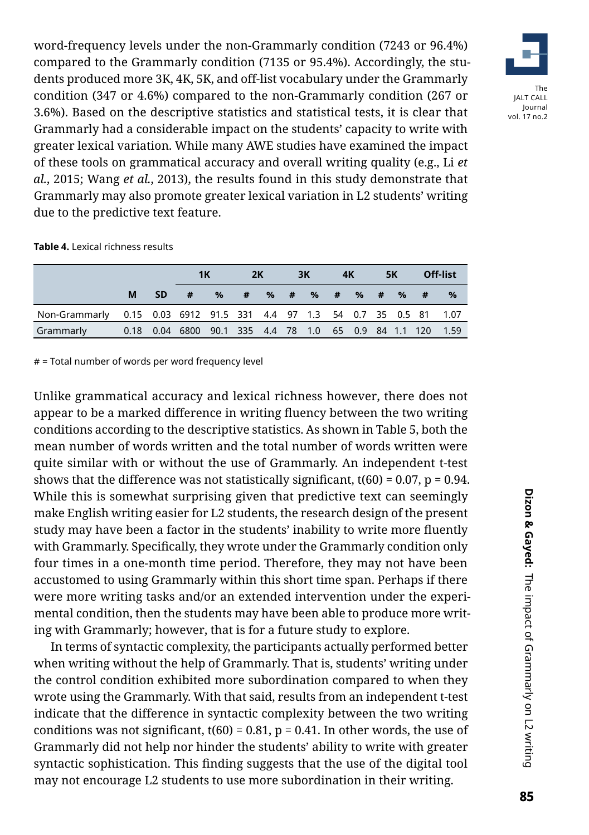word-frequency levels under the non-Grammarly condition (7243 or 96.4%) compared to the Grammarly condition (7135 or 95.4%). Accordingly, the students produced more 3K, 4K, 5K, and off-list vocabulary under the Grammarly condition (347 or 4.6%) compared to the non-Grammarly condition (267 or 3.6%). Based on the descriptive statistics and statistical tests, it is clear that Grammarly had a considerable impact on the students' capacity to write with greater lexical variation. While many AWE studies have examined the impact of these tools on grammatical accuracy and overall writing quality (e.g., Li *et al.*, 2015; Wang *et al.*, 2013), the results found in this study demonstrate that Grammarly may also promote greater lexical variation in L2 students' writing due to the predictive text feature.

**Table 4.** Lexical richness results

|                                                                        |   |      | 1K                                                                     |   | 3K<br>2K |  | 4K |  | <b>5K</b> |  | <b>Off-list</b> |                   |               |
|------------------------------------------------------------------------|---|------|------------------------------------------------------------------------|---|----------|--|----|--|-----------|--|-----------------|-------------------|---------------|
|                                                                        | м | -SD. | #                                                                      | % |          |  |    |  |           |  |                 | # % # % # % # % # | $\frac{9}{6}$ |
| Non-Grammarly 0.15 0.03 6912 91.5 331 4.4 97 1.3 54 0.7 35 0.5 81 1.07 |   |      |                                                                        |   |          |  |    |  |           |  |                 |                   |               |
| Grammarly                                                              |   |      | 0.18  0.04  6800  90.1  335  4.4  78  1.0  65  0.9  84  1.1  120  1.59 |   |          |  |    |  |           |  |                 |                   |               |

# = Total number of words per word frequency level

Unlike grammatical accuracy and lexical richness however, there does not appear to be a marked difference in writing fluency between the two writing conditions according to the descriptive statistics. As shown in Table 5, both the mean number of words written and the total number of words written were quite similar with or without the use of Grammarly. An independent t-test shows that the difference was not statistically significant,  $t(60) = 0.07$ ,  $p = 0.94$ . While this is somewhat surprising given that predictive text can seemingly make English writing easier for L2 students, the research design of the present study may have been a factor in the students' inability to write more fluently with Grammarly. Specifically, they wrote under the Grammarly condition only four times in a one-month time period. Therefore, they may not have been accustomed to using Grammarly within this short time span. Perhaps if there were more writing tasks and/or an extended intervention under the experimental condition, then the students may have been able to produce more writing with Grammarly; however, that is for a future study to explore.

In terms of syntactic complexity, the participants actually performed better when writing without the help of Grammarly. That is, students' writing under the control condition exhibited more subordination compared to when they wrote using the Grammarly. With that said, results from an independent t-test indicate that the difference in syntactic complexity between the two writing conditions was not significant,  $t(60) = 0.81$ ,  $p = 0.41$ . In other words, the use of Grammarly did not help nor hinder the students' ability to write with greater syntactic sophistication. This finding suggests that the use of the digital tool may not encourage L2 students to use more subordination in their writing.

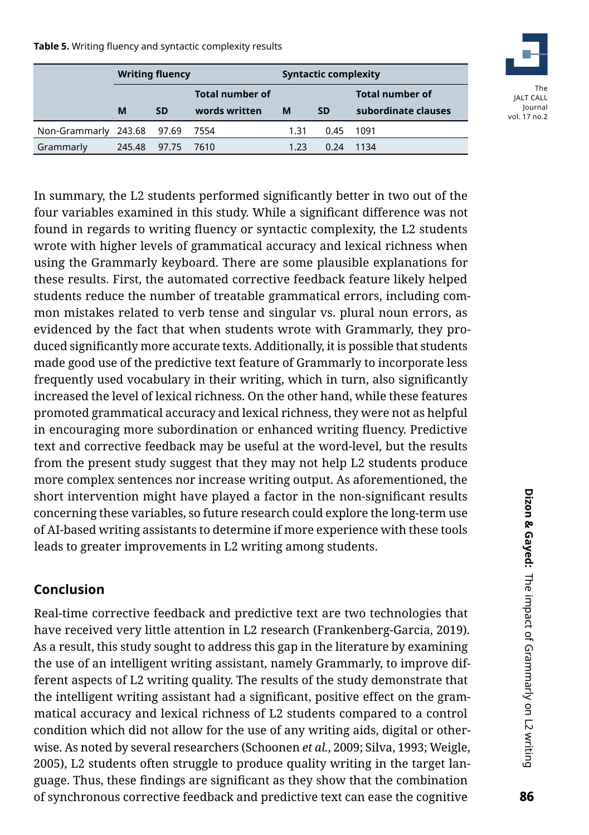**Table 5.** Writing fluency and syntactic complexity results

|                                 | <b>Writing fluency</b> |            |                                  | <b>Syntactic complexity</b> |           |                                               |  |
|---------------------------------|------------------------|------------|----------------------------------|-----------------------------|-----------|-----------------------------------------------|--|
|                                 | M                      | <b>SD</b>  | Total number of<br>words written | м                           | <b>SD</b> | <b>Total number of</b><br>subordinate clauses |  |
|                                 |                        |            |                                  |                             |           |                                               |  |
| Non-Grammarly 243.68 97.69 7554 |                        |            |                                  | 1.31                        | 0.45      | 1091                                          |  |
| Grammarly                       | 245.48                 | 97.75 7610 |                                  | 1.23                        | 0.24      | 1134                                          |  |



In summary, the L2 students performed significantly better in two out of the four variables examined in this study. While a significant difference was not found in regards to writing fluency or syntactic complexity, the L2 students wrote with higher levels of grammatical accuracy and lexical richness when using the Grammarly keyboard. There are some plausible explanations for these results. First, the automated corrective feedback feature likely helped students reduce the number of treatable grammatical errors, including common mistakes related to verb tense and singular vs. plural noun errors, as evidenced by the fact that when students wrote with Grammarly, they produced significantly more accurate texts. Additionally, it is possible that students made good use of the predictive text feature of Grammarly to incorporate less frequently used vocabulary in their writing, which in turn, also significantly increased the level of lexical richness. On the other hand, while these features promoted grammatical accuracy and lexical richness, they were not as helpful in encouraging more subordination or enhanced writing fluency. Predictive text and corrective feedback may be useful at the word-level, but the results from the present study suggest that they may not help L2 students produce more complex sentences nor increase writing output. As aforementioned, the short intervention might have played a factor in the non-significant results concerning these variables, so future research could explore the long-term use of AI-based writing assistants to determine if more experience with these tools leads to greater improvements in L2 writing among students.

# **Conclusion**

Real-time corrective feedback and predictive text are two technologies that have received very little attention in L2 research (Frankenberg-Garcia, 2019). As a result, this study sought to address this gap in the literature by examining the use of an intelligent writing assistant, namely Grammarly, to improve different aspects of L2 writing quality. The results of the study demonstrate that the intelligent writing assistant had a significant, positive effect on the grammatical accuracy and lexical richness of L2 students compared to a control condition which did not allow for the use of any writing aids, digital or otherwise. As noted by several researchers (Schoonen *et al.*, 2009; Silva, 1993; Weigle, 2005), L2 students often struggle to produce quality writing in the target language. Thus, these findings are significant as they show that the combination of synchronous corrective feedback and predictive text can ease the cognitive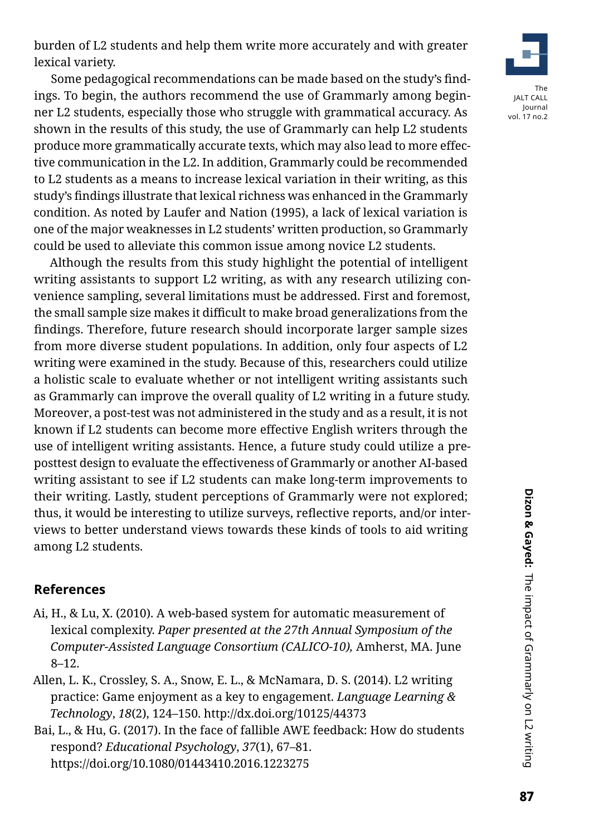burden of L2 students and help them write more accurately and with greater lexical variety.

Some pedagogical recommendations can be made based on the study's findings. To begin, the authors recommend the use of Grammarly among beginner L2 students, especially those who struggle with grammatical accuracy. As shown in the results of this study, the use of Grammarly can help L2 students produce more grammatically accurate texts, which may also lead to more effective communication in the L2. In addition, Grammarly could be recommended to L2 students as a means to increase lexical variation in their writing, as this study's findings illustrate that lexical richness was enhanced in the Grammarly condition. As noted by Laufer and Nation (1995), a lack of lexical variation is one of the major weaknesses in L2 students' written production, so Grammarly could be used to alleviate this common issue among novice L2 students.

Although the results from this study highlight the potential of intelligent writing assistants to support L2 writing, as with any research utilizing convenience sampling, several limitations must be addressed. First and foremost, the small sample size makes it difficult to make broad generalizations from the findings. Therefore, future research should incorporate larger sample sizes from more diverse student populations. In addition, only four aspects of L2 writing were examined in the study. Because of this, researchers could utilize a holistic scale to evaluate whether or not intelligent writing assistants such as Grammarly can improve the overall quality of L2 writing in a future study. Moreover, a post-test was not administered in the study and as a result, it is not known if L2 students can become more effective English writers through the use of intelligent writing assistants. Hence, a future study could utilize a preposttest design to evaluate the effectiveness of Grammarly or another AI-based writing assistant to see if L2 students can make long-term improvements to their writing. Lastly, student perceptions of Grammarly were not explored; thus, it would be interesting to utilize surveys, reflective reports, and/or interviews to better understand views towards these kinds of tools to aid writing among L2 students.

# **References**

- Ai, H., & Lu, X. (2010). A web-based system for automatic measurement of lexical complexity. *Paper presented at the 27th Annual Symposium of the Computer-Assisted Language Consortium (CALICO-10),* Amherst, MA. June 8–12.
- Allen, L. K., Crossley, S. A., Snow, E. L., & McNamara, D. S. (2014). L2 writing practice: Game enjoyment as a key to engagement. *Language Learning & Technology*, *18*(2), 124–150. http://dx.doi.org/10125/44373
- Bai, L., & Hu, G. (2017). In the face of fallible AWE feedback: How do students respond? *Educational Psychology*, *37*(1), 67–81. https://doi.org/10.1080/01443410.2016.1223275

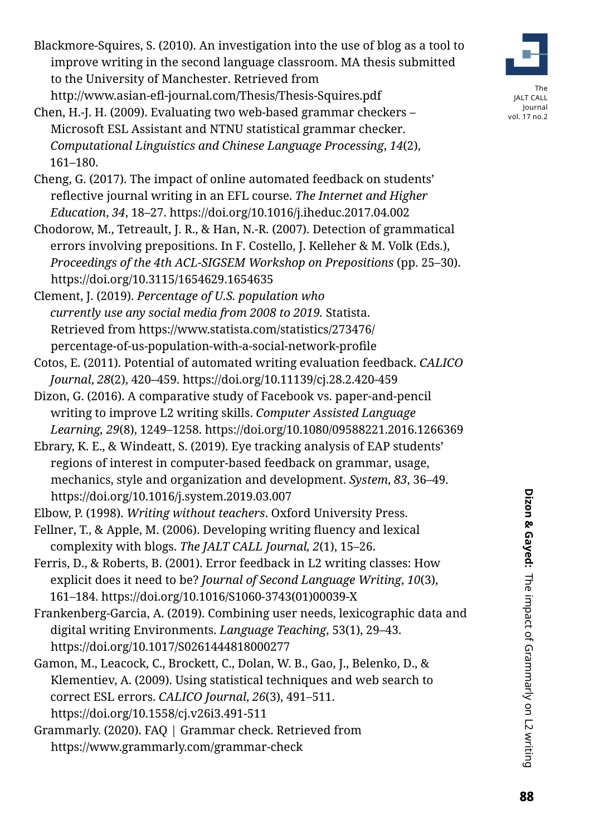- Blackmore-Squires, S. (2010). An investigation into the use of blog as a tool to improve writing in the second language classroom. MA thesis submitted to the University of Manchester. Retrieved from http://www.asian-efl-journal.com/Thesis/Thesis-Squires.pdf
- Chen, H.-J. H. (2009). Evaluating two web-based grammar checkers Microsoft ESL Assistant and NTNU statistical grammar checker. *Computational Linguistics and Chinese Language Processing*, *14*(2), 161–180.
- Cheng, G. (2017). The impact of online automated feedback on students' reflective journal writing in an EFL course. *The Internet and Higher Education*, *34*, 18–27. https://doi.org/10.1016/j.iheduc.2017.04.002
- Chodorow, M., Tetreault, J. R., & Han, N.-R. (2007). Detection of grammatical errors involving prepositions. In F. Costello, J. Kelleher & M. Volk (Eds.), *Proceedings of the 4th ACL-SIGSEM Workshop on Prepositions* (pp. 25–30). https://doi.org/10.3115/1654629.1654635
- Clement, J. (2019). *Percentage of U.S. population who currently use any social media from 2008 to 2019.* Statista. Retrieved from [https://www.statista.com/statistics/273476/](https://www.statista.com/statistics/273476/percentage-of-us-population-with-a-social-network-profile) [percentage-of-us-population-with-a-social-network-profile](https://www.statista.com/statistics/273476/percentage-of-us-population-with-a-social-network-profile)
- Cotos, E. (2011). Potential of automated writing evaluation feedback. *CALICO Journal*, *28*(2), 420–459. https://doi.org/10.11139/cj.28.2.420-459
- Dizon, G. (2016). A comparative study of Facebook vs. paper-and-pencil writing to improve L2 writing skills. *Computer Assisted Language Learning, 29*(8), 1249–1258. https://doi.org/10.1080/09588221.2016.1266369
- Ebrary, K. E., & Windeatt, S. (2019). Eye tracking analysis of EAP students' regions of interest in computer-based feedback on grammar, usage,
- mechanics, style and organization and development. *System*, *83*, 36–49. https://doi.org/10.1016/j.system.2019.03.007
- Elbow, P. (1998). *Writing without teachers*. Oxford University Press.
- Fellner, T., & Apple, M. (2006). Developing writing fluency and lexical complexity with blogs. *The JALT CALL Journal, 2*(1), 15–26.
- Ferris, D., & Roberts, B. (2001). Error feedback in L2 writing classes: How explicit does it need to be? *Journal of Second Language Writing*, *10*(3), 161–184. https://doi.org/10.1016/S1060-3743(01)00039-X
- Frankenberg-Garcia, A. (2019). Combining user needs, lexicographic data and digital writing Environments. *Language Teaching*, 53(1), 29–43. https://doi.org/10.1017/S0261444818000277
- Gamon, M., Leacock, C., Brockett, C., Dolan, W. B., Gao, J., Belenko, D., & Klementiev, A. (2009). Using statistical techniques and web search to correct ESL errors. *CALICO Journal*, *26*(3), 491–511. https://doi.org/10.1558/cj.v26i3.491-511
- Grammarly. (2020). FAQ | Grammar check. Retrieved from https://www.grammarly.com/grammar-check

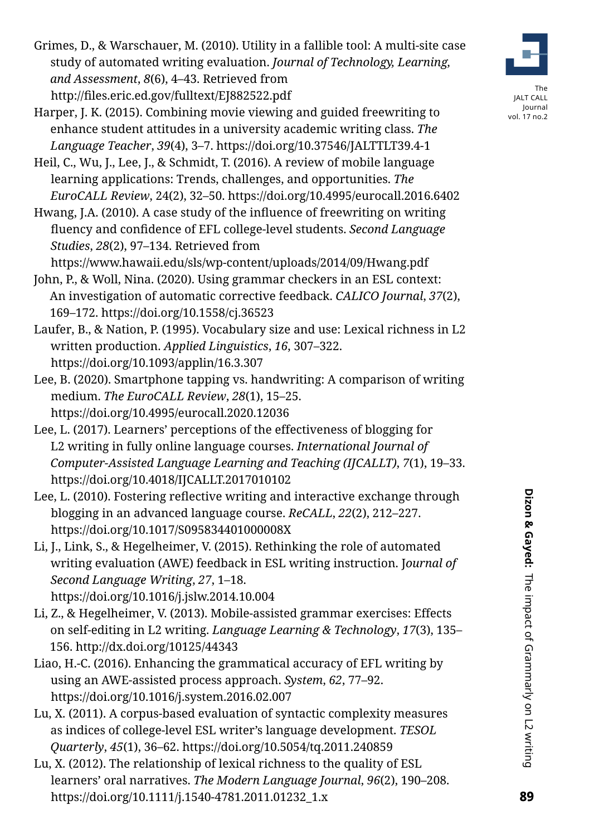Grimes, D., & Warschauer, M. (2010). Utility in a fallible tool: A multi-site case study of automated writing evaluation. *Journal of Technology, Learning, and Assessment*, *8*(6), 4–43. Retrieved from http://files.eric.ed.gov/fulltext/EJ882522.pdf

- Harper, J. K. (2015). Combining movie viewing and guided freewriting to enhance student attitudes in a university academic writing class. *The Language Teacher*, *39*(4), 3–7. https://doi.org/10.37546/JALTTLT39.4-1
- Heil, C., Wu, J., Lee, J., & Schmidt, T. (2016). A review of mobile language learning applications: Trends, challenges, and opportunities. *The EuroCALL Review*, 24(2), 32–50. https://doi.org/10.4995/eurocall.2016.6402
- Hwang, J.A. (2010). A case study of the influence of freewriting on writing fluency and confidence of EFL college-level students. *Second Language Studies*, *28*(2), 97–134. Retrieved from

https://www.hawaii.edu/sls/wp-content/uploads/2014/09/Hwang.pdf

- John, P., & Woll, Nina. (2020). Using grammar checkers in an ESL context: An investigation of automatic corrective feedback. *CALICO Journal*, *37*(2), 169–172. https://doi.org/10.1558/cj.36523
- Laufer, B., & Nation, P. (1995). Vocabulary size and use: Lexical richness in L2 written production. *Applied Linguistics*, *16*, 307–322. https://doi.org/10.1093/applin/16.3.307
- Lee, B. (2020). Smartphone tapping vs. handwriting: A comparison of writing medium. *The EuroCALL Review*, *28*(1), 15–25. https://doi.org/10.4995/eurocall.2020.12036
- Lee, L. (2017). Learners' perceptions of the effectiveness of blogging for L2 writing in fully online language courses. *International Journal of Computer-Assisted Language Learning and Teaching (IJCALLT)*, *7*(1), 19–33. https://doi.org/10.4018/IJCALLT.2017010102
- Lee, L. (2010). Fostering reflective writing and interactive exchange through blogging in an advanced language course. *ReCALL*, *22*(2), 212–227. https://doi.org/10.1017/S095834401000008X
- Li, J., Link, S., & Hegelheimer, V. (2015). Rethinking the role of automated writing evaluation (AWE) feedback in ESL writing instruction. J*ournal of Second Language Writing*, *27*, 1–18. https://doi.org/10.1016/j.jslw.2014.10.004
- Li, Z., & Hegelheimer, V. (2013). Mobile-assisted grammar exercises: Effects on self-editing in L2 writing. *Language Learning & Technology*, *17*(3), 135– 156. http://dx.doi.org/10125/44343
- Liao, H.-C. (2016). Enhancing the grammatical accuracy of EFL writing by using an AWE-assisted process approach. *System*, *62*, 77–92. https://doi.org/10.1016/j.system.2016.02.007
- Lu, X. (2011). A corpus-based evaluation of syntactic complexity measures as indices of college-level ESL writer's language development. *TESOL Quarterly*, *45*(1), 36–62. https://doi.org/10.5054/tq.2011.240859
- Lu, X. (2012). The relationship of lexical richness to the quality of ESL learners' oral narratives. *The Modern Language Journal*, *96*(2), 190–208. https://doi.org/10.1111/j.1540-4781.2011.01232\_1.x

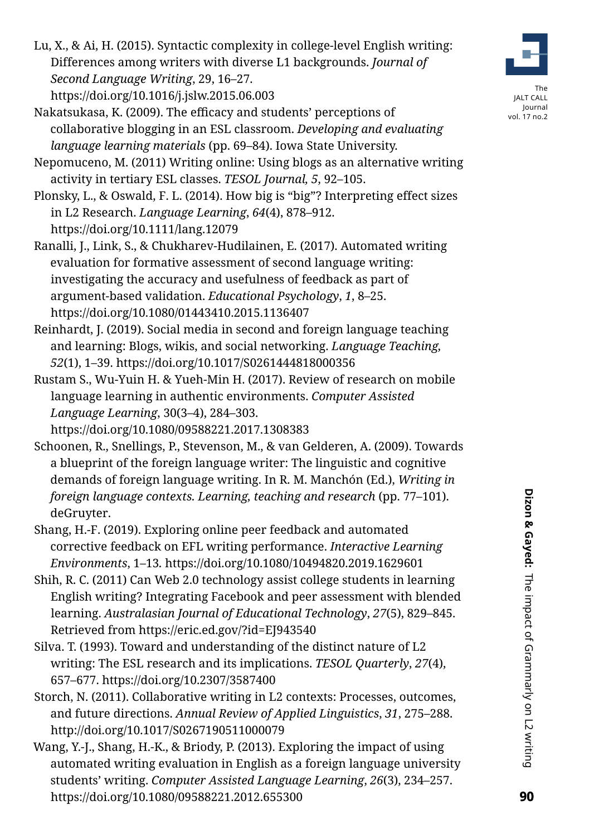Lu, X., & Ai, H. (2015). Syntactic complexity in college-level English writing: Differences among writers with diverse L1 backgrounds. *Journal of Second Language Writing*, 29, 16–27.

https://doi.org/10.1016/j.jslw.2015.06.003

- Nakatsukasa, K. (2009). The efficacy and students' perceptions of collaborative blogging in an ESL classroom. *Developing and evaluating language learning materials* (pp. 69–84). Iowa State University.
- Nepomuceno, M. (2011) Writing online: Using blogs as an alternative writing activity in tertiary ESL classes. *TESOL Journal, 5*, 92–105.
- Plonsky, L., & Oswald, F. L. (2014). How big is "big"? Interpreting effect sizes in L2 Research. *Language Learning*, *64*(4), 878–912. https://doi.org/10.1111/lang.12079
- Ranalli, J., Link, S., & Chukharev-Hudilainen, E. (2017). Automated writing evaluation for formative assessment of second language writing: investigating the accuracy and usefulness of feedback as part of argument-based validation. *Educational Psychology*, *1*, 8–25. https://doi.org/10.1080/01443410.2015.1136407
- Reinhardt, J. (2019). Social media in second and foreign language teaching and learning: Blogs, wikis, and social networking. *Language Teaching, 52*(1), 1–39. https://doi.org/10.1017/S0261444818000356
- Rustam S., Wu-Yuin H. & Yueh-Min H. (2017). Review of research on mobile language learning in authentic environments. *Computer Assisted Language Learning*, 30(3–4), 284–303.

https://doi.org/10.1080/09588221.2017.1308383

- Schoonen, R., Snellings, P., Stevenson, M., & van Gelderen, A. (2009). Towards a blueprint of the foreign language writer: The linguistic and cognitive demands of foreign language writing. In R. M. Manchón (Ed.), *Writing in foreign language contexts. Learning, teaching and research* (pp. 77–101). deGruyter.
- Shang, H.-F. (2019). Exploring online peer feedback and automated corrective feedback on EFL writing performance. *Interactive Learning Environments*, 1–13*.* https://doi.org/10.1080/10494820.2019.1629601
- Shih, R. C. (2011) Can Web 2.0 technology assist college students in learning English writing? Integrating Facebook and peer assessment with blended learning. *Australasian Journal of Educational Technology*, *27*(5), 829–845. Retrieved from https://eric.ed.gov/?id=EJ943540
- Silva. T. (1993). Toward and understanding of the distinct nature of L2 writing: The ESL research and its implications. *TESOL Quarterly*, *27*(4), 657–677. https://doi.org/10.2307/3587400
- Storch, N. (2011). Collaborative writing in L2 contexts: Processes, outcomes, and future directions. *Annual Review of Applied Linguistics*, *31*, 275–288. http://doi.org/10.1017/S0267190511000079
- Wang, Y.-J., Shang, H.-K., & Briody, P. (2013). Exploring the impact of using automated writing evaluation in English as a foreign language university students' writing. *Computer Assisted Language Learning*, *26*(3), 234–257. https://doi.org/10.1080/09588221.2012.655300

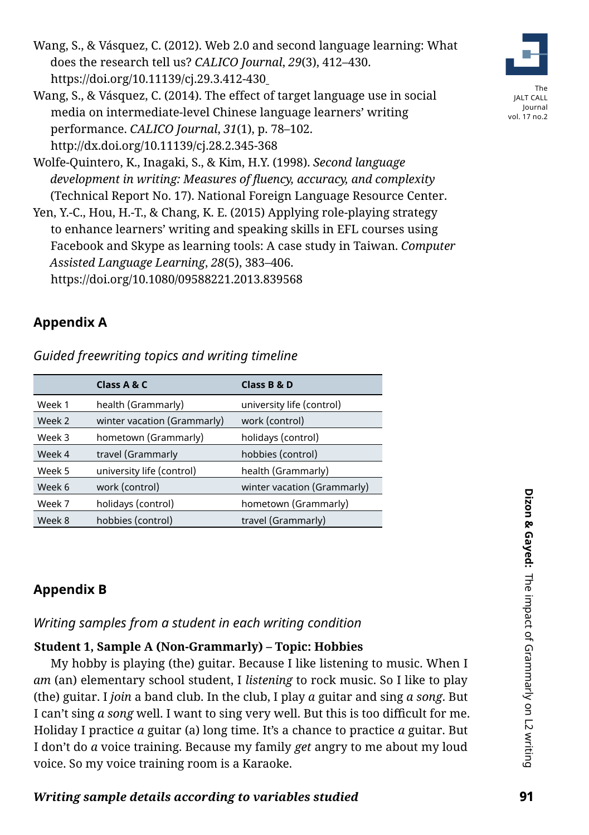Wang, S., & Vásquez, C. (2014). The effect of target language use in social media on intermediate-level Chinese language learners' writing performance. *CALICO Journal*, *31*(1), p. 78–102. http://dx.doi.org/10.11139/cj.28.2.345-368

Wolfe-Quintero, K., Inagaki, S., & Kim, H.Y. (1998). *Second language development in writing: Measures of fluency, accuracy, and complexity* (Technical Report No. 17). National Foreign Language Resource Center.

Yen, Y.-C., Hou, H.-T., & Chang, K. E. (2015) Applying role-playing strategy to enhance learners' writing and speaking skills in EFL courses using Facebook and Skype as learning tools: A case study in Taiwan. *Computer Assisted Language Learning*, *28*(5), 383–406. https://doi.org/10.1080/09588221.2013.839568

# **Appendix A**

*Guided freewriting topics and writing timeline* 

|        | Class A & C                 | Class B & D                 |
|--------|-----------------------------|-----------------------------|
| Week 1 | health (Grammarly)          | university life (control)   |
| Week 2 | winter vacation (Grammarly) | work (control)              |
| Week 3 | hometown (Grammarly)        | holidays (control)          |
| Week 4 | travel (Grammarly           | hobbies (control)           |
| Week 5 | university life (control)   | health (Grammarly)          |
| Week 6 | work (control)              | winter vacation (Grammarly) |
| Week 7 | holidays (control)          | hometown (Grammarly)        |
| Week 8 | hobbies (control)           | travel (Grammarly)          |

# **Appendix B**

# *Writing samples from a student in each writing condition*

# **Student 1, Sample A (Non-Grammarly) – Topic: Hobbies**

My hobby is playing (the) guitar. Because I like listening to music. When I *am* (an) elementary school student, I *listening* to rock music. So I like to play (the) guitar. I *join* a band club. In the club, I play *a* guitar and sing *a song*. But I can't sing *a song* well. I want to sing very well. But this is too difficult for me. Holiday I practice *a* guitar (a) long time. It's a chance to practice *a* guitar. But I don't do *a* voice training. Because my family *get* angry to me about my loud voice. So my voice training room is a Karaoke.